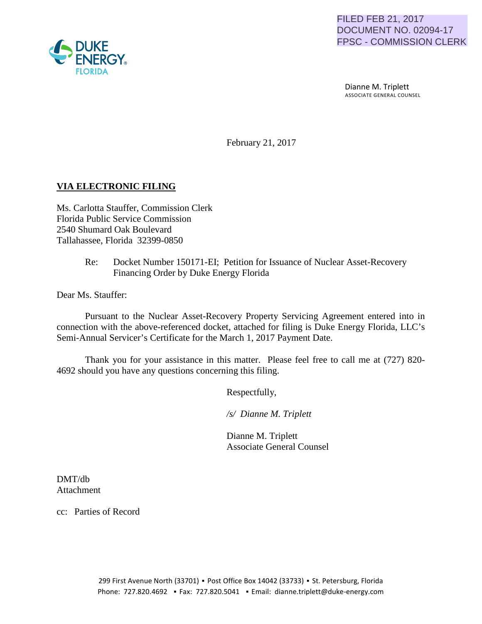

 Dianne M. Triplett ASSOCIATE GENERAL COUNSEL

February 21, 2017

# **VIA ELECTRONIC FILING**

Ms. Carlotta Stauffer, Commission Clerk Florida Public Service Commission 2540 Shumard Oak Boulevard Tallahassee, Florida 32399-0850

### Re: Docket Number 150171-EI; Petition for Issuance of Nuclear Asset-Recovery Financing Order by Duke Energy Florida

Dear Ms. Stauffer:

Pursuant to the Nuclear Asset-Recovery Property Servicing Agreement entered into in connection with the above-referenced docket, attached for filing is Duke Energy Florida, LLC's Semi-Annual Servicer's Certificate for the March 1, 2017 Payment Date.

Thank you for your assistance in this matter. Please feel free to call me at (727) 820- 4692 should you have any questions concerning this filing.

Respectfully,

 */s/ Dianne M. Triplett*

 Dianne M. Triplett Associate General Counsel

DMT/db Attachment

cc: Parties of Record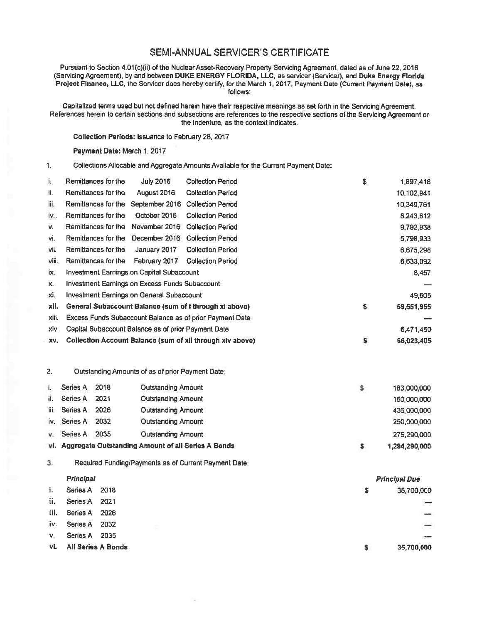# SEMI-ANNUAL SERVICER'S CERTIFICATE

Pursuant to Section 4.01(c)(ii) of the Nuclear Asset-Recovery Property Servicing Agreement, dated as of June 22, 2016 (Servicing Agreement), by and between DUKE ENERGY FLORIDA, LLC, as servicer (Servicer), and Duke Energy Florida Project Finance, LLC, the Servicer does hereby certify, for the March 1, 2017, Payment Date (Current Payment Date), as follows:

Capitalized terms used but not defined herein have their respective meanings as set forth in the Servicing Agreement. References herein to certain sections and subsections are references to the respective sections of the Servicing Agreement or the Indenture, as the context indicates.

\$ 1,897,418

\$ 35,700,000

Collection Periods: Issuance to February 28, 2017

i. Remittances for the July 2016 Collection Period

#### Payment Date: March 1, 2017

1. Collections Allocable and Aggregate Amounts Available for the Current Payment Date:

| ii.   |                  | Remittances for the | August 2016                                           | <b>Collection Period</b>                                         | 10,102,941           |
|-------|------------------|---------------------|-------------------------------------------------------|------------------------------------------------------------------|----------------------|
| iii.  |                  | Remittances for the |                                                       | September 2016 Collection Period                                 | 10,349,761           |
| i۷    |                  | Remittances for the | October 2016                                          | <b>Collection Period</b>                                         | 8,243,612            |
| ۷.    |                  | Remittances for the | November 2016                                         | <b>Collection Period</b>                                         | 9,792,938            |
| vi.   |                  | Remittances for the | December 2016                                         | <b>Collection Period</b>                                         | 5,798,933            |
| vii.  |                  | Remittances for the | January 2017                                          | <b>Collection Period</b>                                         | 6,675,298            |
| viii. |                  | Remittances for the | February 2017                                         | <b>Collection Period</b>                                         | 6,633,092            |
| ix.   |                  |                     | Investment Earnings on Capital Subaccount             |                                                                  | 8,457                |
| x.    |                  |                     | <b>Investment Earnings on Excess Funds Subaccount</b> |                                                                  |                      |
| xi.   |                  |                     | <b>Investment Earnings on General Subaccount</b>      |                                                                  | 49,505               |
| xii.  |                  |                     |                                                       | General Subaccount Balance (sum of i through xi above)           | \$<br>59,551,955     |
| xiii. |                  |                     |                                                       | Excess Funds Subaccount Balance as of prior Payment Date         |                      |
| xiv.  |                  |                     | Capital Subaccount Balance as of prior Payment Date   |                                                                  | 6,471,450            |
| XV.   |                  |                     |                                                       | <b>Collection Account Balance (sum of xii through xiv above)</b> | \$<br>66,023,405     |
|       |                  |                     |                                                       |                                                                  |                      |
| 2.    |                  |                     | Outstanding Amounts of as of prior Payment Date:      |                                                                  |                      |
| i.    | Series A         | 2018                | <b>Outstanding Amount</b>                             |                                                                  | \$<br>183,000,000    |
| li.   | Series A         | 2021                | <b>Outstanding Amount</b>                             |                                                                  | 150,000,000          |
| iii.  | Series A         | 2026                | <b>Outstanding Amount</b>                             |                                                                  | 436,000,000          |
| İV.   | Series A         | 2032                | <b>Outstanding Amount</b>                             |                                                                  | 250,000,000          |
| ٧.    | Series A         | 2035                | <b>Outstanding Amount</b>                             |                                                                  | 275,290,000          |
| ۷i.   |                  |                     | Aggregate Outstanding Amount of all Series A Bonds    |                                                                  | \$<br>1,294,290,000  |
| З.    |                  |                     |                                                       | Required Funding/Payments as of Current Payment Date:            |                      |
|       | <b>Principal</b> |                     |                                                       |                                                                  | <b>Principal Due</b> |
| i.    | <b>Series A</b>  | 2018                |                                                       |                                                                  | \$<br>35,700,000     |
| ii.   | Series A         | 2021                |                                                       |                                                                  |                      |
| iii.  | <b>Series A</b>  | 2026                |                                                       |                                                                  |                      |
| i۷.   | <b>Series A</b>  | 2032                |                                                       |                                                                  |                      |
| ν.    | <b>Series A</b>  | 2035                |                                                       |                                                                  |                      |

vi. All Series A Bonds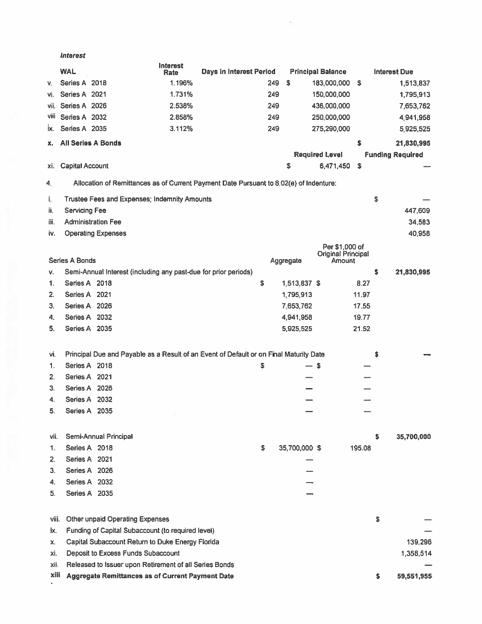#### Interest

|       | <b>WAL</b>                |                                                                                        | <b>Interest</b><br>Rate | Days in Interest Period |     |               | <b>Principal Balance</b>            |          |    | <b>Interest Due</b>     |
|-------|---------------------------|----------------------------------------------------------------------------------------|-------------------------|-------------------------|-----|---------------|-------------------------------------|----------|----|-------------------------|
| v.    | Series A 2018             |                                                                                        | 1.196%                  |                         | 249 | \$            | 183,000,000                         | <b>S</b> |    | 1,513,837               |
| VI.   | Series A 2021             |                                                                                        | 1.731%                  |                         | 249 |               | 150,000,000                         |          |    | 1,795,913               |
| VII.  | Series A 2026             |                                                                                        | 2.538%                  |                         | 249 |               | 436,000,000                         |          |    | 7,653,762               |
| Vill  | Series A 2032             |                                                                                        | 2.858%                  |                         | 249 |               | 250,000,000                         |          |    | 4,941,958               |
| ix.   | Series A 2035             |                                                                                        | 3.112%                  |                         | 249 |               | 275,290,000                         |          |    | 5,925,525               |
| x.    | <b>All Series A Bonds</b> |                                                                                        |                         |                         |     |               |                                     | \$       |    | 21,830,995              |
|       |                           |                                                                                        |                         |                         |     |               | <b>Required Level</b>               |          |    | <b>Funding Required</b> |
| XI.   | <b>Capital Account</b>    |                                                                                        |                         |                         |     | \$            | 6,471,450                           | \$       |    |                         |
| 4.    |                           | Allocation of Remittances as of Current Payment Date Pursuant to 8.02(e) of Indenture: |                         |                         |     |               |                                     |          |    |                         |
| i.    |                           | Trustee Fees and Expenses; Indemnity Amounts                                           |                         |                         |     |               |                                     |          | \$ |                         |
| ii.   | <b>Servicing Fee</b>      |                                                                                        |                         |                         |     |               |                                     |          |    | 447,609                 |
| iii.  |                           | <b>Administration Fee</b>                                                              |                         |                         |     |               |                                     |          |    | 34,583                  |
| iv.   |                           | <b>Operating Expenses</b>                                                              |                         |                         |     |               |                                     |          |    | 40,958                  |
|       |                           |                                                                                        |                         |                         |     |               | Per \$1,000 of                      |          |    |                         |
|       | <b>Series A Bonds</b>     |                                                                                        |                         |                         |     | Aggregate     | <b>Original Principal</b><br>Amount |          |    |                         |
| v.    |                           | Semi-Annual Interest (including any past-due for prior periods)                        |                         |                         |     |               |                                     |          | \$ | 21,830,995              |
| 1.    | Series A 2018             |                                                                                        |                         |                         | \$  | 1,513,837 \$  |                                     | 8.27     |    |                         |
| 2.    | Series A 2021             |                                                                                        |                         |                         |     | 1,795,913     |                                     | 11.97    |    |                         |
| З.    | Series A 2026             |                                                                                        |                         |                         |     | 7,653,762     |                                     | 17.55    |    |                         |
| 4.    | Series A 2032             |                                                                                        |                         |                         |     | 4,941,958     |                                     | 19.77    |    |                         |
| 5.    | Series A 2035             |                                                                                        |                         |                         |     | 5,925,525     |                                     | 21.52    |    |                         |
|       |                           |                                                                                        |                         |                         |     |               |                                     |          |    |                         |
| Vİ.   |                           | Principal Due and Payable as a Result of an Event of Default or on Final Maturity Date |                         |                         |     |               |                                     |          | S  |                         |
| 1.    | Series A 2018             |                                                                                        |                         |                         | \$  | $-5$          |                                     |          |    |                         |
| 2.    | Series A 2021             |                                                                                        |                         |                         |     |               |                                     |          |    |                         |
| 3.    | Series A 2026             |                                                                                        |                         |                         |     |               |                                     |          |    |                         |
| 4.    | Series A 2032             |                                                                                        |                         |                         |     |               |                                     |          |    |                         |
| 5.    | Series A 2035             |                                                                                        |                         |                         |     |               |                                     |          |    |                         |
|       |                           |                                                                                        |                         |                         |     |               |                                     |          |    |                         |
| vii.  |                           | Semi-Annual Principal                                                                  |                         |                         |     |               |                                     |          | \$ | 35,700,000              |
| 1.    | Series A 2018             |                                                                                        |                         |                         | \$  | 35,700,000 \$ |                                     | 195.08   |    |                         |
| 2.    | Series A 2021             |                                                                                        |                         |                         |     |               |                                     |          |    |                         |
| 3.    | Series A 2026             |                                                                                        |                         |                         |     |               |                                     |          |    |                         |
| 4.    | Series A 2032             |                                                                                        |                         |                         |     |               |                                     |          |    |                         |
| 5.    | Series A 2035             |                                                                                        |                         |                         |     |               |                                     |          |    |                         |
| viii. |                           | <b>Other unpaid Operating Expenses</b>                                                 |                         |                         |     |               |                                     |          | \$ |                         |
| ix.   |                           | Funding of Capital Subaccount (to required level)                                      |                         |                         |     |               |                                     |          |    |                         |
| X.    |                           | Capital Subaccount Return to Duke Energy Florida                                       |                         |                         |     |               |                                     |          |    | 139,296                 |
| xi.   |                           | Deposit to Excess Funds Subaccount                                                     |                         |                         |     |               |                                     |          |    | 1,358,514               |
| xii.  |                           | Released to Issuer upon Retirement of all Series Bonds                                 |                         |                         |     |               |                                     |          |    |                         |
| xiii  |                           | Aggregate Remittances as of Current Payment Date                                       |                         |                         |     |               |                                     |          | s  | 59,551,955              |

 $\overline{\mathcal{D}}$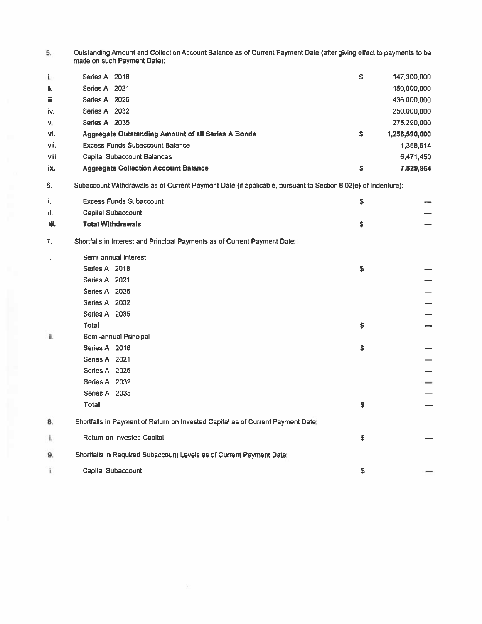| Outstanding Amount and Collection Account Balance as of Current Payment Date (after giving effect to payments to be |
|---------------------------------------------------------------------------------------------------------------------|
| made on such Payment Date):                                                                                         |

| i.    | Series A 2018                                      | \$ | 147,300,000   |
|-------|----------------------------------------------------|----|---------------|
| ii.   | Series A 2021                                      |    | 150,000,000   |
| iii.  | Series A 2026                                      |    | 436,000,000   |
| iv.   | Series A 2032                                      |    | 250,000,000   |
| v.    | 2035<br>Series A                                   |    | 275,290,000   |
| vi.   | Aggregate Outstanding Amount of all Series A Bonds | s  | 1,258,590,000 |
| vii.  | <b>Excess Funds Subaccount Balance</b>             |    | 1,358,514     |
| viii. | <b>Capital Subaccount Balances</b>                 |    | 6.471.450     |
| ix.   | <b>Aggregate Collection Account Balance</b>        |    | 7,829,964     |

6. Subaccount Withdrawals as of Current Payment Date (if applicable, pursuant to Section 8.02(e) of Indenture):

| i.   | <b>Excess Funds Subaccount</b> |                                                                                 |    |    |
|------|--------------------------------|---------------------------------------------------------------------------------|----|----|
| ii.  | Capital Subaccount             |                                                                                 |    |    |
| iii. | <b>Total Withdrawals</b>       |                                                                                 | \$ |    |
| 7.   |                                | Shortfalls in Interest and Principal Payments as of Current Payment Date:       |    |    |
| i.   | Semi-annual Interest           |                                                                                 |    |    |
|      | Series A 2018                  |                                                                                 | \$ |    |
|      | Series A 2021                  |                                                                                 |    |    |
|      | Series A 2026                  |                                                                                 |    |    |
|      | Series A 2032                  |                                                                                 |    |    |
|      | Series A 2035                  |                                                                                 |    |    |
|      | <b>Total</b>                   |                                                                                 | \$ |    |
| ii.  | Semi-annual Principal          |                                                                                 |    |    |
|      | Series A 2018                  |                                                                                 | \$ |    |
|      | Series A 2021                  |                                                                                 |    |    |
|      | Series A 2026                  |                                                                                 |    | -- |
|      | Series A 2032                  |                                                                                 |    | ⇒  |
|      | Series A 2035                  |                                                                                 |    | -  |
|      | <b>Total</b>                   |                                                                                 | s  |    |
| 8.   |                                | Shortfalls in Payment of Return on Invested Capital as of Current Payment Date: |    |    |
| i.   | Return on Invested Capital     |                                                                                 | \$ |    |
| 9.   |                                | Shortfalls in Required Subaccount Levels as of Current Payment Date:            |    |    |
| i.   | <b>Capital Subaccount</b>      |                                                                                 | \$ |    |

X.